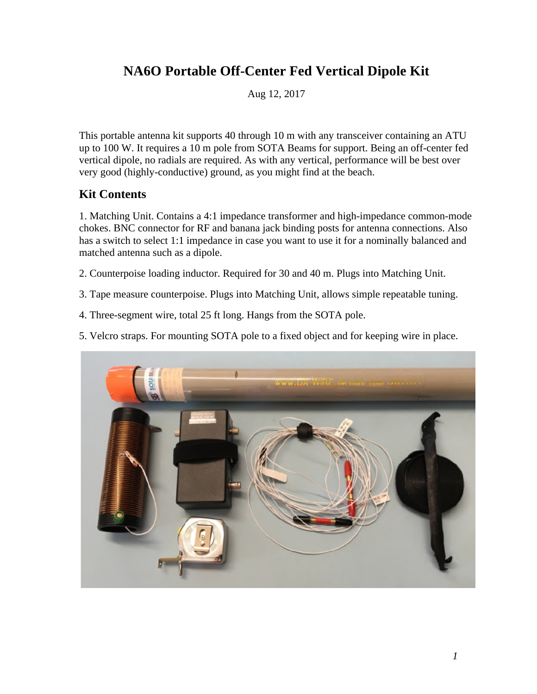# **NA6O Portable Off-Center Fed Vertical Dipole Kit**

Aug 12, 2017

This portable antenna kit supports 40 through 10 m with any transceiver containing an ATU up to 100 W. It requires a 10 m pole from SOTA Beams for support. Being an off-center fed vertical dipole, no radials are required. As with any vertical, performance will be best over very good (highly-conductive) ground, as you might find at the beach.

#### **Kit Contents**

1. Matching Unit. Contains a 4:1 impedance transformer and high-impedance common-mode chokes. BNC connector for RF and banana jack binding posts for antenna connections. Also has a switch to select 1:1 impedance in case you want to use it for a nominally balanced and matched antenna such as a dipole.

- 2. Counterpoise loading inductor. Required for 30 and 40 m. Plugs into Matching Unit.
- 3. Tape measure counterpoise. Plugs into Matching Unit, allows simple repeatable tuning.
- 4. Three-segment wire, total 25 ft long. Hangs from the SOTA pole.
- 5. Velcro straps. For mounting SOTA pole to a fixed object and for keeping wire in place.

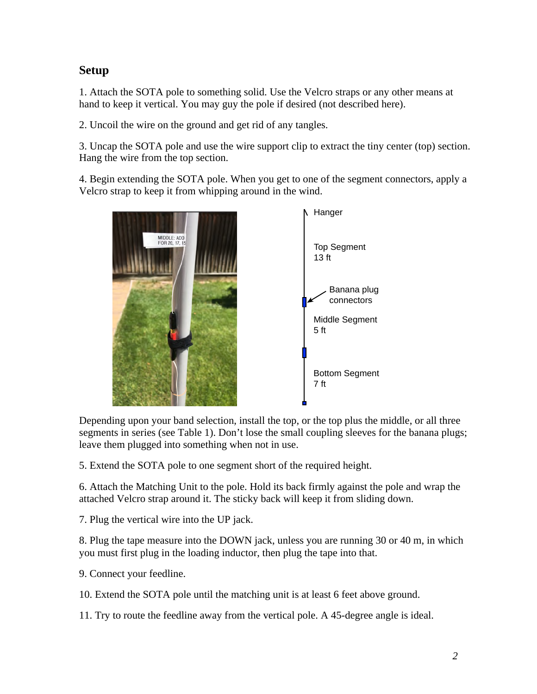## **Setup**

1. Attach the SOTA pole to something solid. Use the Velcro straps or any other means at hand to keep it vertical. You may guy the pole if desired (not described here).

2. Uncoil the wire on the ground and get rid of any tangles.

3. Uncap the SOTA pole and use the wire support clip to extract the tiny center (top) section. Hang the wire from the top section.

4. Begin extending the SOTA pole. When you get to one of the segment connectors, apply a Velcro strap to keep it from whipping around in the wind.



Depending upon your band selection, install the top, or the top plus the middle, or all three segments in series (see Table 1). Don't lose the small coupling sleeves for the banana plugs; leave them plugged into something when not in use.

5. Extend the SOTA pole to one segment short of the required height.

6. Attach the Matching Unit to the pole. Hold its back firmly against the pole and wrap the attached Velcro strap around it. The sticky back will keep it from sliding down.

7. Plug the vertical wire into the UP jack.

8. Plug the tape measure into the DOWN jack, unless you are running 30 or 40 m, in which you must first plug in the loading inductor, then plug the tape into that.

9. Connect your feedline.

10. Extend the SOTA pole until the matching unit is at least 6 feet above ground.

11. Try to route the feedline away from the vertical pole. A 45-degree angle is ideal.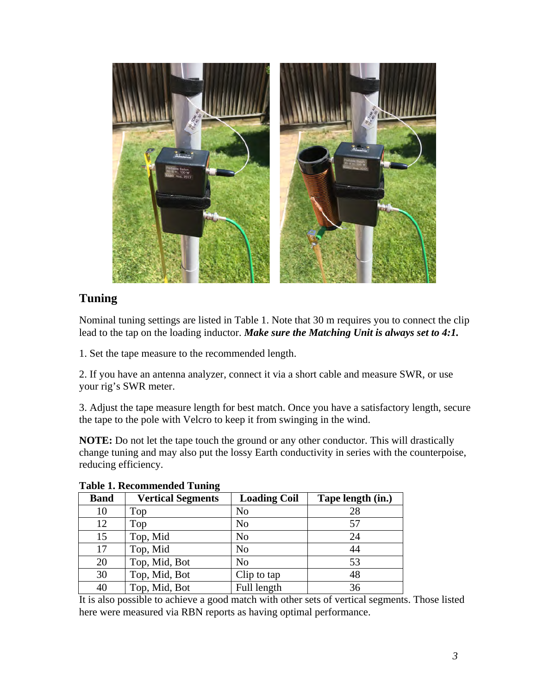

## **Tuning**

Nominal tuning settings are listed in Table 1. Note that 30 m requires you to connect the clip lead to the tap on the loading inductor. *Make sure the Matching Unit is always set to 4:1.*

1. Set the tape measure to the recommended length.

2. If you have an antenna analyzer, connect it via a short cable and measure SWR, or use your rig's SWR meter.

3. Adjust the tape measure length for best match. Once you have a satisfactory length, secure the tape to the pole with Velcro to keep it from swinging in the wind.

**NOTE:** Do not let the tape touch the ground or any other conductor. This will drastically change tuning and may also put the lossy Earth conductivity in series with the counterpoise, reducing efficiency.

| <b>Band</b> | <b>Vertical Segments</b> | <b>Loading Coil</b> | Tape length (in.) |
|-------------|--------------------------|---------------------|-------------------|
| 10          | Top                      | No                  | 28                |
| 12          | Top                      | No                  | 57                |
| 15          | Top, Mid                 | No                  | 24                |
| 17          | Top, Mid                 | No                  | 44                |
| 20          | Top, Mid, Bot            | N <sub>0</sub>      | 53                |
| 30          | Top, Mid, Bot            | Clip to tap         | 48                |
| 40          | Top, Mid, Bot            | Full length         | 36                |

**Table 1. Recommended Tuning**

It is also possible to achieve a good match with other sets of vertical segments. Those listed here were measured via RBN reports as having optimal performance.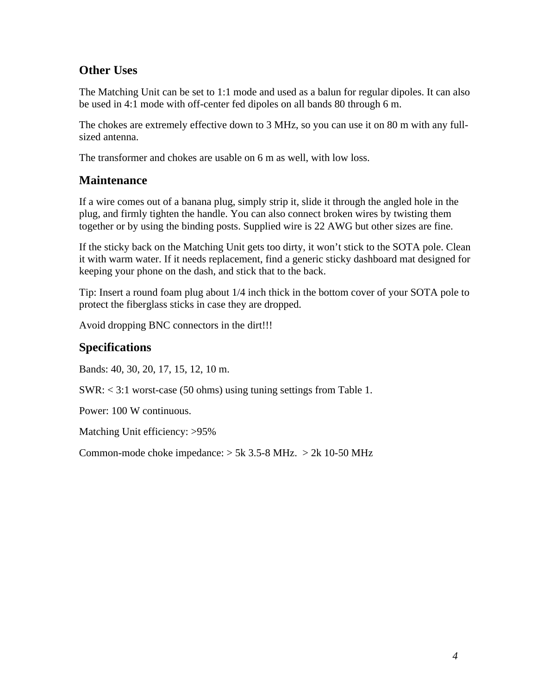### **Other Uses**

The Matching Unit can be set to 1:1 mode and used as a balun for regular dipoles. It can also be used in 4:1 mode with off-center fed dipoles on all bands 80 through 6 m.

The chokes are extremely effective down to 3 MHz, so you can use it on 80 m with any fullsized antenna.

The transformer and chokes are usable on 6 m as well, with low loss.

#### **Maintenance**

If a wire comes out of a banana plug, simply strip it, slide it through the angled hole in the plug, and firmly tighten the handle. You can also connect broken wires by twisting them together or by using the binding posts. Supplied wire is 22 AWG but other sizes are fine.

If the sticky back on the Matching Unit gets too dirty, it won't stick to the SOTA pole. Clean it with warm water. If it needs replacement, find a generic sticky dashboard mat designed for keeping your phone on the dash, and stick that to the back.

Tip: Insert a round foam plug about 1/4 inch thick in the bottom cover of your SOTA pole to protect the fiberglass sticks in case they are dropped.

Avoid dropping BNC connectors in the dirt!!!

### **Specifications**

Bands: 40, 30, 20, 17, 15, 12, 10 m.

SWR: < 3:1 worst-case (50 ohms) using tuning settings from Table 1.

Power: 100 W continuous.

Matching Unit efficiency: >95%

Common-mode choke impedance:  $> 5k$  3.5-8 MHz.  $> 2k$  10-50 MHz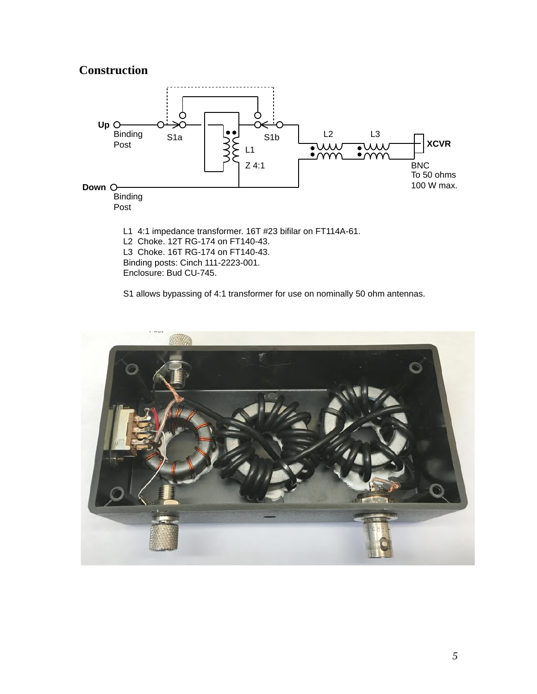#### **Construction**



S1 allows bypassing of 4:1 transformer for use on nominally 50 ohm antennas.